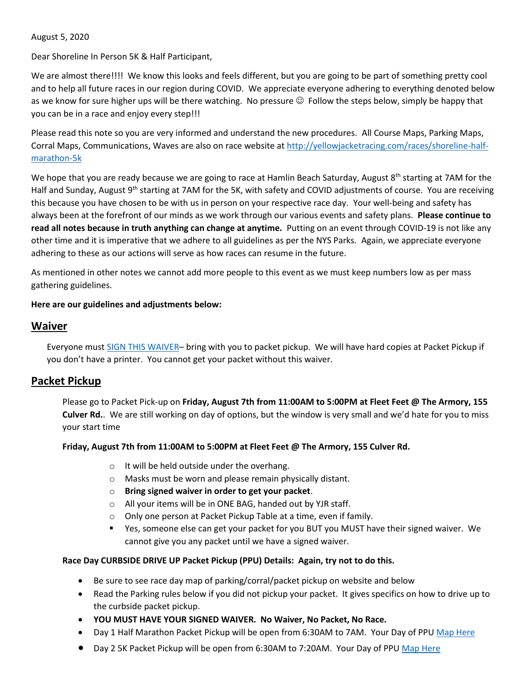August 5, 2020

Dear Shoreline In Person 5K & Half Participant,

We are almost there!!!! We know this looks and feels different, but you are going to be part of something pretty cool and to help all future races in our region during COVID. We appreciate everyone adhering to everything denoted below as we know for sure higher ups will be there watching. No pressure  $\odot$  Follow the steps below, simply be happy that you can be in a race and enjoy every step!!!

Please read this note so you are very informed and understand the new procedures. All Course Maps, Parking Maps, Corral Maps, Communications, Waves are also on race website a[t http://yellowjacketracing.com/races/shoreline-half](http://yellowjacketracing.com/races/shoreline-half-marathon-5k)[marathon-5k](http://yellowjacketracing.com/races/shoreline-half-marathon-5k)

We hope that you are ready because we are going to race at Hamlin Beach Saturday, August 8<sup>th</sup> starting at 7AM for the Half and Sunday, August 9<sup>th</sup> starting at 7AM for the 5K, with safety and COVID adjustments of course. You are receiving this because you have chosen to be with us in person on your respective race day. Your well-being and safety has always been at the forefront of our minds as we work through our various events and safety plans. **Please continue to read all notes because in truth anything can change at anytime.** Putting on an event through COVID-19 is not like any other time and it is imperative that we adhere to all guidelines as per the NYS Parks. Again, we appreciate everyone adhering to these as our actions will serve as how races can resume in the future.

As mentioned in other notes we cannot add more people to this event as we must keep numbers low as per mass gathering guidelines.

### **Here are our guidelines and adjustments below:**

### **Waiver**

Everyone must [SIGN THIS WAIVER](http://files.yellowjacketracing.com/races/shoreline-half-marathon-5k/YJR_Shoreline_Waiver_COVID.pdf)– bring with you to packet pickup. We will have hard copies at Packet Pickup if you don't have a printer. You cannot get your packet without this waiver.

## **Packet Pickup**

Please go to Packet Pick-up on **Friday, August 7th from 11:00AM to 5:00PM at Fleet Feet @ The Armory, 155 Culver Rd.**. We are still working on day of options, but the window is very small and we'd hate for you to miss your start time

### **Friday, August 7th from 11:00AM to 5:00PM at Fleet Feet @ The Armory, 155 Culver Rd.**

- o It will be held outside under the overhang.
- o Masks must be worn and please remain physically distant.
- o **Bring signed waiver in order to get your packet**.
- o All your items will be in ONE BAG, handed out by YJR staff.
- o Only one person at Packet Pickup Table at a time, even if family.
- Yes, someone else can get your packet for you BUT you MUST have their signed waiver. We cannot give you any packet until we have a signed waiver.

### **Race Day CURBSIDE DRIVE UP Packet Pickup (PPU) Details: Again, try not to do this.**

- Be sure to see race day map of parking/corral/packet pickup on website and below
- Read the Parking rules below if you did not pickup your packet. It gives specifics on how to drive up to the curbside packet pickup.
- **YOU MUST HAVE YOUR SIGNED WAIVER. No Waiver, No Packet, No Race.**
- Day 1 Half Marathon Packet Pickup will be open from 6:30AM to 7AM. Your Day of PPU [Map Here](http://files.yellowjacketracing.com/races/shoreline-half-marathon-5k/Day_1_Corral_PPU_arrangement.pdf)
- Day 2 5K Packet Pickup will be open from 6:30AM to 7:20AM. Your Day of PPU [Map Here](http://files.yellowjacketracing.com/races/shoreline-half-marathon-5k/Day_2_Corral_PPU_arrangement.pdf)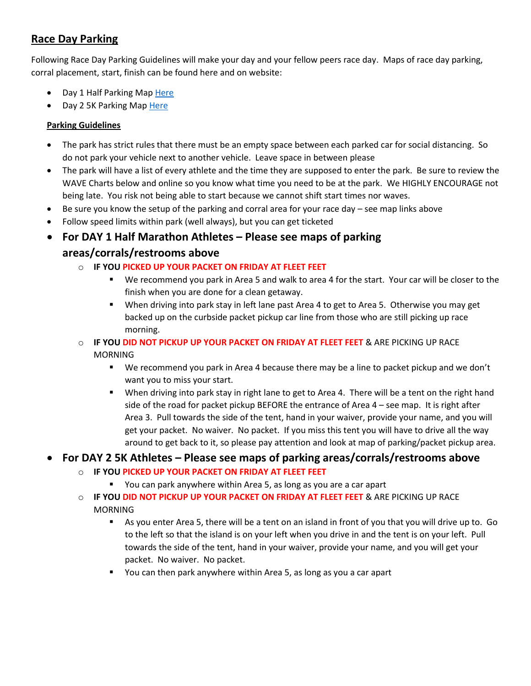# **Race Day Parking**

Following Race Day Parking Guidelines will make your day and your fellow peers race day. Maps of race day parking, corral placement, start, finish can be found here and on website:

- Day 1 Half Parking Ma[p Here](http://files.yellowjacketracing.com/races/shoreline-half-marathon-5k/Day_1_Corral_PPU_arrangement.pdf)
- Day 2 5K Parking Map [Here](http://files.yellowjacketracing.com/races/shoreline-half-marathon-5k/Day_2_Corral_PPU_arrangement.pdf)

### **Parking Guidelines**

- The park has strict rules that there must be an empty space between each parked car for social distancing. So do not park your vehicle next to another vehicle. Leave space in between please
- The park will have a list of every athlete and the time they are supposed to enter the park. Be sure to review the WAVE Charts below and online so you know what time you need to be at the park. We HIGHLY ENCOURAGE not being late. You risk not being able to start because we cannot shift start times nor waves.
- Be sure you know the setup of the parking and corral area for your race day see map links above
- Follow speed limits within park (well always), but you can get ticketed
- **For DAY 1 Half Marathon Athletes – Please see maps of parking areas/corrals/restrooms above**
	- o **IF YOU PICKED UP YOUR PACKET ON FRIDAY AT FLEET FEET**
		- We recommend you park in Area 5 and walk to area 4 for the start. Your car will be closer to the finish when you are done for a clean getaway.
		- When driving into park stay in left lane past Area 4 to get to Area 5. Otherwise you may get backed up on the curbside packet pickup car line from those who are still picking up race morning.
	- o **IF YOU DID NOT PICKUP UP YOUR PACKET ON FRIDAY AT FLEET FEET** & ARE PICKING UP RACE

**MORNING** 

- We recommend you park in Area 4 because there may be a line to packet pickup and we don't want you to miss your start.
- When driving into park stay in right lane to get to Area 4. There will be a tent on the right hand side of the road for packet pickup BEFORE the entrance of Area 4 – see map. It is right after Area 3. Pull towards the side of the tent, hand in your waiver, provide your name, and you will get your packet. No waiver. No packet. If you miss this tent you will have to drive all the way around to get back to it, so please pay attention and look at map of parking/packet pickup area.

## **For DAY 2 5K Athletes – Please see maps of parking areas/corrals/restrooms above**

- o **IF YOU PICKED UP YOUR PACKET ON FRIDAY AT FLEET FEET**
	- You can park anywhere within Area 5, as long as you are a car apart
- o **IF YOU DID NOT PICKUP UP YOUR PACKET ON FRIDAY AT FLEET FEET** & ARE PICKING UP RACE **MORNING** 
	- As you enter Area 5, there will be a tent on an island in front of you that you will drive up to. Go to the left so that the island is on your left when you drive in and the tent is on your left. Pull towards the side of the tent, hand in your waiver, provide your name, and you will get your packet. No waiver. No packet.
	- You can then park anywhere within Area 5, as long as you a car apart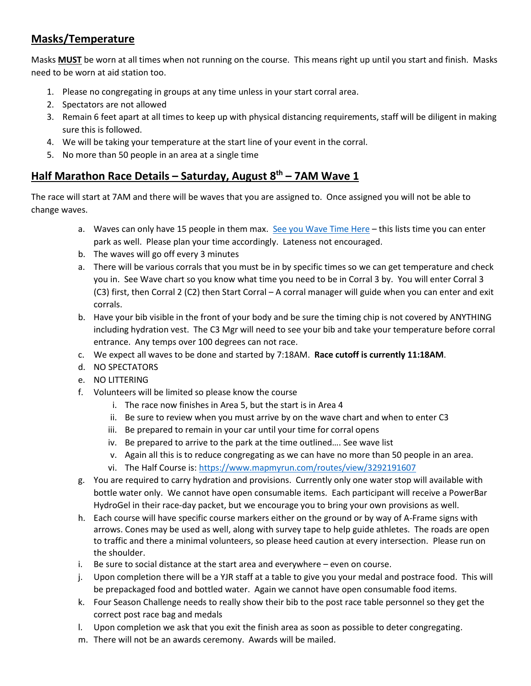# **Masks/Temperature**

Masks **MUST** be worn at all times when not running on the course. This means right up until you start and finish. Masks need to be worn at aid station too.

- 1. Please no congregating in groups at any time unless in your start corral area.
- 2. Spectators are not allowed
- 3. Remain 6 feet apart at all times to keep up with physical distancing requirements, staff will be diligent in making sure this is followed.
- 4. We will be taking your temperature at the start line of your event in the corral.
- 5. No more than 50 people in an area at a single time

# **Half Marathon Race Details – Saturday, August 8th – 7AM Wave 1**

The race will start at 7AM and there will be waves that you are assigned to. Once assigned you will not be able to change waves.

- a. Waves can only have 15 people in them max. [See you Wave Time Here](http://files.yellowjacketracing.com/races/shoreline-half-marathon-5k/Shoreline_Half_Wave_List_to_Send_to_Parts_v2.pdf) this lists time you can enter park as well. Please plan your time accordingly. Lateness not encouraged.
- b. The waves will go off every 3 minutes
- a. There will be various corrals that you must be in by specific times so we can get temperature and check you in. See Wave chart so you know what time you need to be in Corral 3 by. You will enter Corral 3 (C3) first, then Corral 2 (C2) then Start Corral – A corral manager will guide when you can enter and exit corrals.
- b. Have your bib visible in the front of your body and be sure the timing chip is not covered by ANYTHING including hydration vest. The C3 Mgr will need to see your bib and take your temperature before corral entrance. Any temps over 100 degrees can not race.
- c. We expect all waves to be done and started by 7:18AM. **Race cutoff is currently 11:18AM**.
- d. NO SPECTATORS
- e. NO LITTERING
- f. Volunteers will be limited so please know the course
	- i. The race now finishes in Area 5, but the start is in Area 4
	- ii. Be sure to review when you must arrive by on the wave chart and when to enter C3
	- iii. Be prepared to remain in your car until your time for corral opens
	- iv. Be prepared to arrive to the park at the time outlined…. See wave list
	- v. Again all this is to reduce congregating as we can have no more than 50 people in an area.
	- vi. The Half Course is:<https://www.mapmyrun.com/routes/view/3292191607>
- g. You are required to carry hydration and provisions. Currently only one water stop will available with bottle water only. We cannot have open consumable items. Each participant will receive a PowerBar HydroGel in their race-day packet, but we encourage you to bring your own provisions as well.
- h. Each course will have specific course markers either on the ground or by way of A-Frame signs with arrows. Cones may be used as well, along with survey tape to help guide athletes. The roads are open to traffic and there a minimal volunteers, so please heed caution at every intersection. Please run on the shoulder.
- i. Be sure to social distance at the start area and everywhere even on course.
- j. Upon completion there will be a YJR staff at a table to give you your medal and postrace food. This will be prepackaged food and bottled water. Again we cannot have open consumable food items.
- k. Four Season Challenge needs to really show their bib to the post race table personnel so they get the correct post race bag and medals
- l. Upon completion we ask that you exit the finish area as soon as possible to deter congregating.
- m. There will not be an awards ceremony. Awards will be mailed.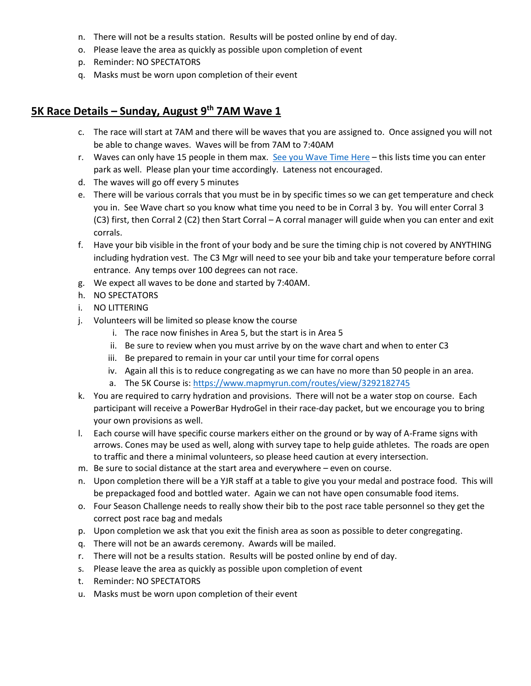- n. There will not be a results station. Results will be posted online by end of day.
- o. Please leave the area as quickly as possible upon completion of event
- p. Reminder: NO SPECTATORS
- q. Masks must be worn upon completion of their event

## **5K Race Details – Sunday, August 9th 7AM Wave 1**

- c. The race will start at 7AM and there will be waves that you are assigned to. Once assigned you will not be able to change waves. Waves will be from 7AM to 7:40AM
- r. Waves can only have 15 people in them max. [See you Wave Time Here](http://files.yellowjacketracing.com/races/shoreline-half-marathon-5k/Shoreline_5K_Wave_List_to_Send_to_Parts_v2.pdf) this lists time you can enter park as well. Please plan your time accordingly. Lateness not encouraged.
- d. The waves will go off every 5 minutes
- e. There will be various corrals that you must be in by specific times so we can get temperature and check you in. See Wave chart so you know what time you need to be in Corral 3 by. You will enter Corral 3 (C3) first, then Corral 2 (C2) then Start Corral – A corral manager will guide when you can enter and exit corrals.
- f. Have your bib visible in the front of your body and be sure the timing chip is not covered by ANYTHING including hydration vest. The C3 Mgr will need to see your bib and take your temperature before corral entrance. Any temps over 100 degrees can not race.
- g. We expect all waves to be done and started by 7:40AM.
- h. NO SPECTATORS
- i. NO LITTERING
- j. Volunteers will be limited so please know the course
	- i. The race now finishes in Area 5, but the start is in Area 5
	- ii. Be sure to review when you must arrive by on the wave chart and when to enter C3
	- iii. Be prepared to remain in your car until your time for corral opens
	- iv. Again all this is to reduce congregating as we can have no more than 50 people in an area.
	- a. The 5K Course is[: https://www.mapmyrun.com/routes/view/3292182745](https://www.mapmyrun.com/routes/view/3292182745)
- k. You are required to carry hydration and provisions. There will not be a water stop on course. Each participant will receive a PowerBar HydroGel in their race-day packet, but we encourage you to bring your own provisions as well.
- l. Each course will have specific course markers either on the ground or by way of A-Frame signs with arrows. Cones may be used as well, along with survey tape to help guide athletes. The roads are open to traffic and there a minimal volunteers, so please heed caution at every intersection.
- m. Be sure to social distance at the start area and everywhere even on course.
- n. Upon completion there will be a YJR staff at a table to give you your medal and postrace food. This will be prepackaged food and bottled water. Again we can not have open consumable food items.
- o. Four Season Challenge needs to really show their bib to the post race table personnel so they get the correct post race bag and medals
- p. Upon completion we ask that you exit the finish area as soon as possible to deter congregating.
- q. There will not be an awards ceremony. Awards will be mailed.
- r. There will not be a results station. Results will be posted online by end of day.
- s. Please leave the area as quickly as possible upon completion of event
- t. Reminder: NO SPECTATORS
- u. Masks must be worn upon completion of their event